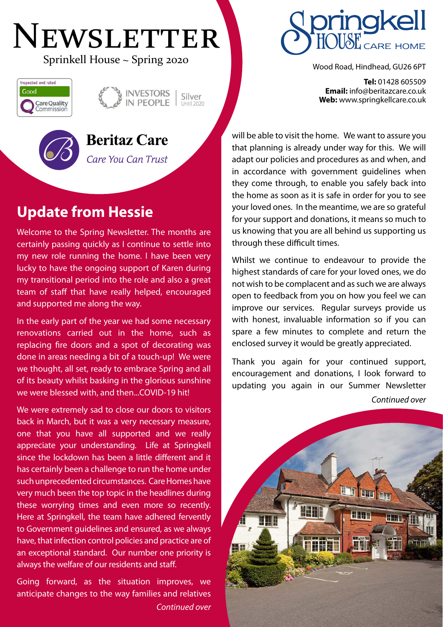# NEWSLETTER Sprinkell House ~ Spring 2020







**Beritaz Care** 

Care You Can Trust

# **Update from Hessie**

Welcome to the Spring Newsletter. The months are certainly passing quickly as I continue to settle into my new role running the home. I have been very lucky to have the ongoing support of Karen during my transitional period into the role and also a great team of staff that have really helped, encouraged and supported me along the way.

In the early part of the year we had some necessary renovations carried out in the home, such as replacing fire doors and a spot of decorating was done in areas needing a bit of a touch-up! We were we thought, all set, ready to embrace Spring and all of its beauty whilst basking in the glorious sunshine we were blessed with, and then...COVID-19 hit!

We were extremely sad to close our doors to visitors back in March, but it was a very necessary measure, one that you have all supported and we really appreciate your understanding. Life at Springkell since the lockdown has been a little different and it has certainly been a challenge to run the home under such unprecedented circumstances. Care Homes have very much been the top topic in the headlines during these worrying times and even more so recently. Here at Springkell, the team have adhered fervently to Government guidelines and ensured, as we always have, that infection control policies and practice are of an exceptional standard. Our number one priority is always the welfare of our residents and staff.

Going forward, as the situation improves, we anticipate changes to the way families and relatives *Continued over*



**Tel:** 01428 605509 **Email:** info@beritazcare.co.uk **Web:** www.springkellcare.co.uk

will be able to visit the home. We want to assure you that planning is already under way for this. We will adapt our policies and procedures as and when, and in accordance with government guidelines when they come through, to enable you safely back into the home as soon as it is safe in order for you to see your loved ones. In the meantime, we are so grateful for your support and donations, it means so much to us knowing that you are all behind us supporting us through these difficult times.

Whilst we continue to endeavour to provide the highest standards of care for your loved ones, we do not wish to be complacent and as such we are always open to feedback from you on how you feel we can improve our services. Regular surveys provide us with honest, invaluable information so if you can spare a few minutes to complete and return the enclosed survey it would be greatly appreciated.

Thank you again for your continued support, encouragement and donations, I look forward to updating you again in our Summer Newsletter *Continued over*

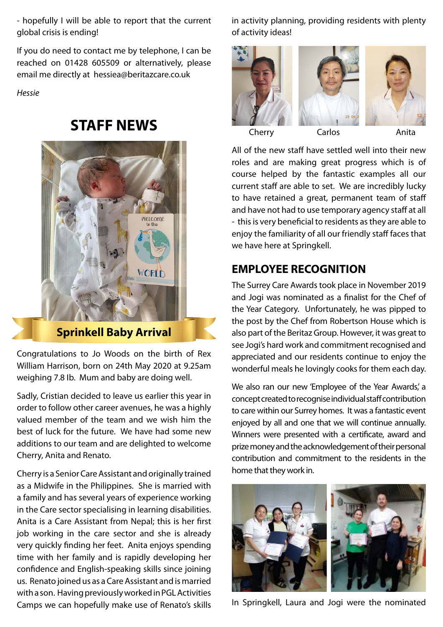- hopefully I will be able to report that the current global crisis is ending!

If you do need to contact me by telephone, I can be reached on 01428 605509 or alternatively, please email me directly at hessiea@beritazcare.co.uk

*Hessie*

### **STAFF NEWS**



**Sprinkell Baby Arrival**

Congratulations to Jo Woods on the birth of Rex William Harrison, born on 24th May 2020 at 9.25am weighing 7.8 Ib. Mum and baby are doing well.

Sadly, Cristian decided to leave us earlier this year in order to follow other career avenues, he was a highly valued member of the team and we wish him the best of luck for the future. We have had some new additions to our team and are delighted to welcome Cherry, Anita and Renato.

Cherry is a Senior Care Assistant and originally trained as a Midwife in the Philippines. She is married with a family and has several years of experience working in the Care sector specialising in learning disabilities. Anita is a Care Assistant from Nepal; this is her first job working in the care sector and she is already very quickly finding her feet. Anita enjoys spending time with her family and is rapidly developing her confidence and English-speaking skills since joining us. Renato joined us as a Care Assistant and is married with a son. Having previously worked in PGL Activities Camps we can hopefully make use of Renato's skills in activity planning, providing residents with plenty of activity ideas!



All of the new staff have settled well into their new roles and are making great progress which is of course helped by the fantastic examples all our current staff are able to set. We are incredibly lucky to have retained a great, permanent team of staff and have not had to use temporary agency staff at all - this is very beneficial to residents as they are able to enjoy the familiarity of all our friendly staff faces that we have here at Springkell.

#### **EMPLOYEE RECOGNITION**

The Surrey Care Awards took place in November 2019 and Jogi was nominated as a finalist for the Chef of the Year Category. Unfortunately, he was pipped to the post by the Chef from Robertson House which is also part of the Beritaz Group. However, it was great to see Jogi's hard work and commitment recognised and appreciated and our residents continue to enjoy the wonderful meals he lovingly cooks for them each day.

We also ran our new 'Employee of the Year Awards', a concept created to recognise individual staff contribution to care within our Surrey homes. It was a fantastic event enjoyed by all and one that we will continue annually. Winners were presented with a certificate, award and prize money and the acknowledgement of their personal contribution and commitment to the residents in the home that they work in.



In Springkell, Laura and Jogi were the nominated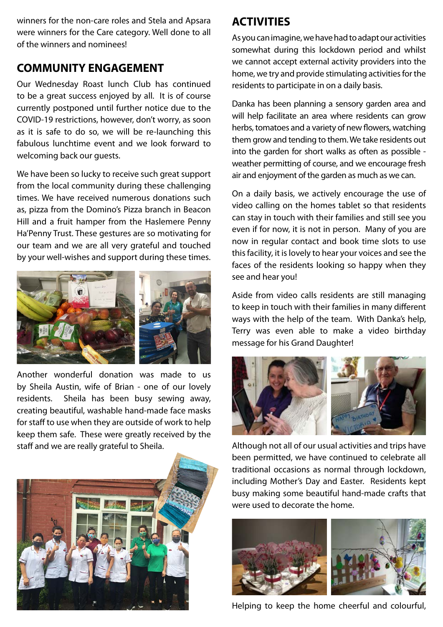winners for the non-care roles and Stela and Apsara were winners for the Care category. Well done to all of the winners and nominees!

#### **COMMUNITY ENGAGEMENT**

Our Wednesday Roast lunch Club has continued to be a great success enjoyed by all. It is of course currently postponed until further notice due to the COVID-19 restrictions, however, don't worry, as soon as it is safe to do so, we will be re-launching this fabulous lunchtime event and we look forward to welcoming back our guests.

We have been so lucky to receive such great support from the local community during these challenging times. We have received numerous donations such as, pizza from the Domino's Pizza branch in Beacon Hill and a fruit hamper from the Haslemere Penny Ha'Penny Trust. These gestures are so motivating for our team and we are all very grateful and touched by your well-wishes and support during these times.



Another wonderful donation was made to us by Sheila Austin, wife of Brian - one of our lovely residents. Sheila has been busy sewing away, creating beautiful, washable hand-made face masks for staff to use when they are outside of work to help keep them safe. These were greatly received by the staff and we are really grateful to Sheila.



#### **ACTIVITIES**

As you can imagine, we have had to adapt our activities somewhat during this lockdown period and whilst we cannot accept external activity providers into the home, we try and provide stimulating activities for the residents to participate in on a daily basis.

Danka has been planning a sensory garden area and will help facilitate an area where residents can grow herbs, tomatoes and a variety of new flowers, watching them grow and tending to them. We take residents out into the garden for short walks as often as possible weather permitting of course, and we encourage fresh air and enjoyment of the garden as much as we can.

On a daily basis, we actively encourage the use of video calling on the homes tablet so that residents can stay in touch with their families and still see you even if for now, it is not in person. Many of you are now in regular contact and book time slots to use this facility, it is lovely to hear your voices and see the faces of the residents looking so happy when they see and hear you!

Aside from video calls residents are still managing to keep in touch with their families in many different ways with the help of the team. With Danka's help, Terry was even able to make a video birthday message for his Grand Daughter!



Although not all of our usual activities and trips have been permitted, we have continued to celebrate all traditional occasions as normal through lockdown, including Mother's Day and Easter. Residents kept busy making some beautiful hand-made crafts that were used to decorate the home.



Helping to keep the home cheerful and colourful,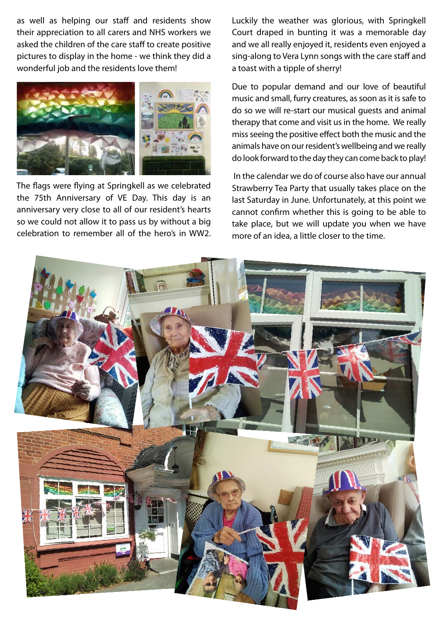as well as helping our staff and residents show their appreciation to all carers and NHS workers we asked the children of the care staff to create positive pictures to display in the home - we think they did a wonderful job and the residents love them!



The flags were flying at Springkell as we celebrated the 75th Anniversary of VE Day. This day is an anniversary very close to all of our resident's hearts so we could not allow it to pass us by without a big celebration to remember all of the hero's in WW2. Luckily the weather was glorious, with Springkell Court draped in bunting it was a memorable day and we all really enjoyed it, residents even enjoyed a sing-along to Vera Lynn songs with the care staff and a toast with a tipple of sherry!

Due to popular demand and our love of beautiful music and small, furry creatures, as soon as it is safe to do so we will re-start our musical guests and animal therapy that come and visit us in the home. We really miss seeing the positive effect both the music and the animals have on our resident's wellbeing and we really do look forward to the day they can come back to play!

 In the calendar we do of course also have our annual Strawberry Tea Party that usually takes place on the last Saturday in June. Unfortunately, at this point we cannot confirm whether this is going to be able to take place, but we will update you when we have more of an idea, a little closer to the time.